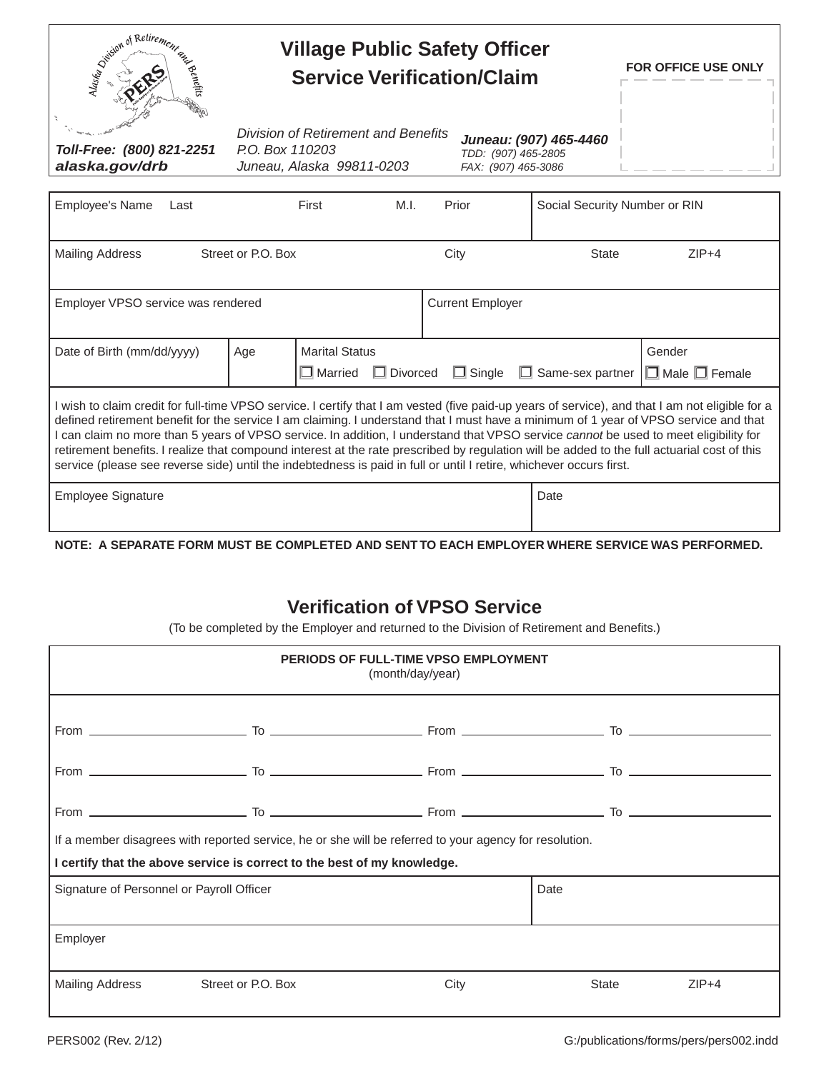| Similar of Retirement<br>when the hits                                                                                                                                                                                                                                                                                                                                                                                                                                                                                                                                                                                                                                                                | <b>Village Public Safety Officer</b><br><b>Service Verification/Claim</b>           | FOR OFFICE USE ONLY                                                  |          |                         |                               |                                     |  |  |  |  |  |  |
|-------------------------------------------------------------------------------------------------------------------------------------------------------------------------------------------------------------------------------------------------------------------------------------------------------------------------------------------------------------------------------------------------------------------------------------------------------------------------------------------------------------------------------------------------------------------------------------------------------------------------------------------------------------------------------------------------------|-------------------------------------------------------------------------------------|----------------------------------------------------------------------|----------|-------------------------|-------------------------------|-------------------------------------|--|--|--|--|--|--|
| Toll-Free: (800) 821-2251<br>alaska.gov/drb                                                                                                                                                                                                                                                                                                                                                                                                                                                                                                                                                                                                                                                           | Division of Retirement and Benefits<br>P.O. Box 110203<br>Juneau, Alaska 99811-0203 | Juneau: (907) 465-4460<br>TDD: (907) 465-2805<br>FAX: (907) 465-3086 |          |                         |                               |                                     |  |  |  |  |  |  |
| Employee's Name<br>Last                                                                                                                                                                                                                                                                                                                                                                                                                                                                                                                                                                                                                                                                               |                                                                                     | First                                                                | M.I.     | Prior                   | Social Security Number or RIN |                                     |  |  |  |  |  |  |
| <b>Mailing Address</b>                                                                                                                                                                                                                                                                                                                                                                                                                                                                                                                                                                                                                                                                                | Street or P.O. Box                                                                  |                                                                      |          | City                    | <b>State</b>                  | $ZIP+4$                             |  |  |  |  |  |  |
| Employer VPSO service was rendered                                                                                                                                                                                                                                                                                                                                                                                                                                                                                                                                                                                                                                                                    |                                                                                     |                                                                      |          | <b>Current Employer</b> |                               |                                     |  |  |  |  |  |  |
| Date of Birth (mm/dd/yyyy)                                                                                                                                                                                                                                                                                                                                                                                                                                                                                                                                                                                                                                                                            | Age                                                                                 | <b>Marital Status</b><br>$\Box$ Married                              | Divorced | $\Box$ Single           | $\Box$ Same-sex partner       | Gender<br>$\Box$ Male $\Box$ Female |  |  |  |  |  |  |
| I wish to claim credit for full-time VPSO service. I certify that I am vested (five paid-up years of service), and that I am not eligible for a<br>defined retirement benefit for the service I am claiming. I understand that I must have a minimum of 1 year of VPSO service and that<br>I can claim no more than 5 years of VPSO service. In addition, I understand that VPSO service cannot be used to meet eligibility for<br>retirement benefits. I realize that compound interest at the rate prescribed by regulation will be added to the full actuarial cost of this<br>service (please see reverse side) until the indebtedness is paid in full or until I retire, whichever occurs first. |                                                                                     |                                                                      |          |                         |                               |                                     |  |  |  |  |  |  |
| <b>Employee Signature</b>                                                                                                                                                                                                                                                                                                                                                                                                                                                                                                                                                                                                                                                                             |                                                                                     |                                                                      |          |                         | Date                          |                                     |  |  |  |  |  |  |
| NOTE: A SEPARATE FORM MUST BE COMPLETED AND SENT TO EACH EMPLOYER WHERE SERVICE WAS PERFORMED.                                                                                                                                                                                                                                                                                                                                                                                                                                                                                                                                                                                                        |                                                                                     |                                                                      |          |                         |                               |                                     |  |  |  |  |  |  |

## **Verification of VPSO Service**

(To be completed by the Employer and returned to the Division of Retirement and Benefits.)

|                                                                                                                                                                                    |                    | PERIODS OF FULL-TIME VPSO EMPLOYMENT<br>(month/day/year) |       |         |  |  |  |  |  |  |  |  |
|------------------------------------------------------------------------------------------------------------------------------------------------------------------------------------|--------------------|----------------------------------------------------------|-------|---------|--|--|--|--|--|--|--|--|
|                                                                                                                                                                                    |                    |                                                          |       |         |  |  |  |  |  |  |  |  |
|                                                                                                                                                                                    |                    |                                                          |       |         |  |  |  |  |  |  |  |  |
|                                                                                                                                                                                    |                    |                                                          |       |         |  |  |  |  |  |  |  |  |
| If a member disagrees with reported service, he or she will be referred to your agency for resolution.<br>I certify that the above service is correct to the best of my knowledge. |                    |                                                          |       |         |  |  |  |  |  |  |  |  |
| Signature of Personnel or Payroll Officer                                                                                                                                          |                    |                                                          | Date  |         |  |  |  |  |  |  |  |  |
| Employer                                                                                                                                                                           |                    |                                                          |       |         |  |  |  |  |  |  |  |  |
| Mailing Address                                                                                                                                                                    | Street or P.O. Box | City                                                     | State | $ZIP+4$ |  |  |  |  |  |  |  |  |